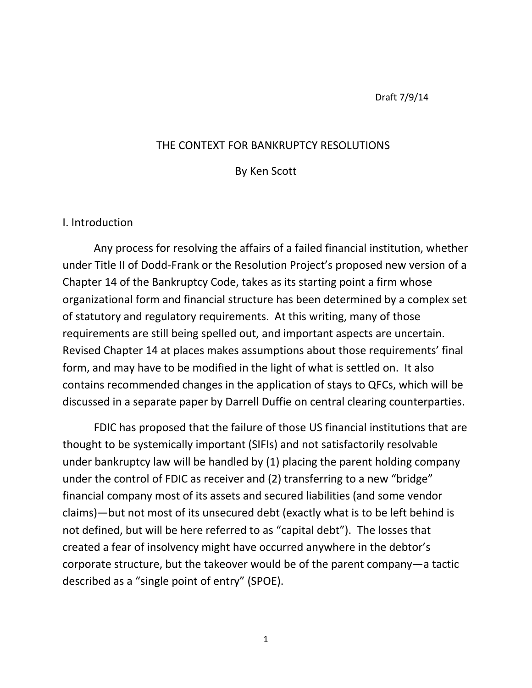Draft 7/9/14

### THE CONTEXT FOR BANKRUPTCY RESOLUTIONS

By Ken Scott

#### I. Introduction

Any process for resolving the affairs of a failed financial institution, whether under Title II of Dodd-Frank or the Resolution Project's proposed new version of a Chapter 14 of the Bankruptcy Code, takes as its starting point a firm whose organizational form and financial structure has been determined by a complex set of statutory and regulatory requirements. At this writing, many of those requirements are still being spelled out, and important aspects are uncertain. Revised Chapter 14 at places makes assumptions about those requirements' final form, and may have to be modified in the light of what is settled on. It also contains recommended changes in the application of stays to QFCs, which will be discussed in a separate paper by Darrell Duffie on central clearing counterparties.

FDIC has proposed that the failure of those US financial institutions that are thought to be systemically important (SIFIs) and not satisfactorily resolvable under bankruptcy law will be handled by (1) placing the parent holding company under the control of FDIC as receiver and (2) transferring to a new "bridge" financial company most of its assets and secured liabilities (and some vendor claims)—but not most of its unsecured debt (exactly what is to be left behind is not defined, but will be here referred to as "capital debt"). The losses that created a fear of insolvency might have occurred anywhere in the debtor's corporate structure, but the takeover would be of the parent company—a tactic described as a "single point of entry" (SPOE).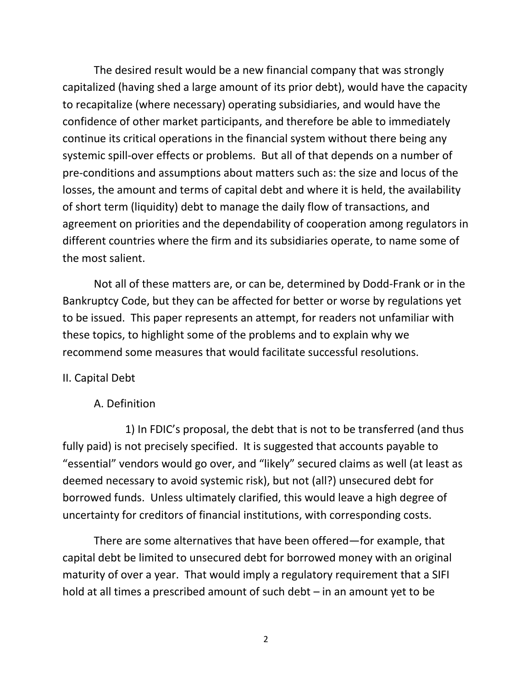The desired result would be a new financial company that was strongly capitalized (having shed a large amount of its prior debt), would have the capacity to recapitalize (where necessary) operating subsidiaries, and would have the confidence of other market participants, and therefore be able to immediately continue its critical operations in the financial system without there being any systemic spill-over effects or problems. But all of that depends on a number of pre-conditions and assumptions about matters such as: the size and locus of the losses, the amount and terms of capital debt and where it is held, the availability of short term (liquidity) debt to manage the daily flow of transactions, and agreement on priorities and the dependability of cooperation among regulators in different countries where the firm and its subsidiaries operate, to name some of the most salient.

Not all of these matters are, or can be, determined by Dodd-Frank or in the Bankruptcy Code, but they can be affected for better or worse by regulations yet to be issued. This paper represents an attempt, for readers not unfamiliar with these topics, to highlight some of the problems and to explain why we recommend some measures that would facilitate successful resolutions.

# II. Capital Debt

### A. Definition

1) In FDIC's proposal, the debt that is not to be transferred (and thus fully paid) is not precisely specified. It is suggested that accounts payable to "essential" vendors would go over, and "likely" secured claims as well (at least as deemed necessary to avoid systemic risk), but not (all?) unsecured debt for borrowed funds. Unless ultimately clarified, this would leave a high degree of uncertainty for creditors of financial institutions, with corresponding costs.

There are some alternatives that have been offered—for example, that capital debt be limited to unsecured debt for borrowed money with an original maturity of over a year. That would imply a regulatory requirement that a SIFI hold at all times a prescribed amount of such debt – in an amount yet to be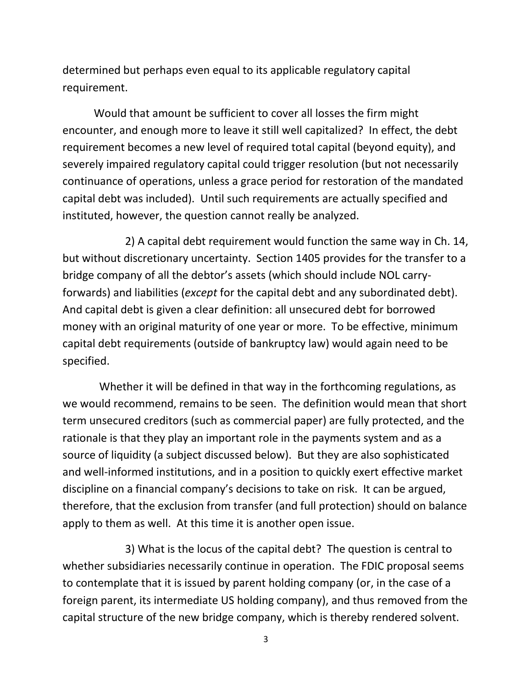determined but perhaps even equal to its applicable regulatory capital requirement.

Would that amount be sufficient to cover all losses the firm might encounter, and enough more to leave it still well capitalized? In effect, the debt requirement becomes a new level of required total capital (beyond equity), and severely impaired regulatory capital could trigger resolution (but not necessarily continuance of operations, unless a grace period for restoration of the mandated capital debt was included). Until such requirements are actually specified and instituted, however, the question cannot really be analyzed.

2) A capital debt requirement would function the same way in Ch. 14, but without discretionary uncertainty. Section 1405 provides for the transfer to a bridge company of all the debtor's assets (which should include NOL carryforwards) and liabilities (*except* for the capital debt and any subordinated debt). And capital debt is given a clear definition: all unsecured debt for borrowed money with an original maturity of one year or more. To be effective, minimum capital debt requirements (outside of bankruptcy law) would again need to be specified.

 Whether it will be defined in that way in the forthcoming regulations, as we would recommend, remains to be seen. The definition would mean that short term unsecured creditors (such as commercial paper) are fully protected, and the rationale is that they play an important role in the payments system and as a source of liquidity (a subject discussed below). But they are also sophisticated and well-informed institutions, and in a position to quickly exert effective market discipline on a financial company's decisions to take on risk. It can be argued, therefore, that the exclusion from transfer (and full protection) should on balance apply to them as well. At this time it is another open issue.

3) What is the locus of the capital debt? The question is central to whether subsidiaries necessarily continue in operation. The FDIC proposal seems to contemplate that it is issued by parent holding company (or, in the case of a foreign parent, its intermediate US holding company), and thus removed from the capital structure of the new bridge company, which is thereby rendered solvent.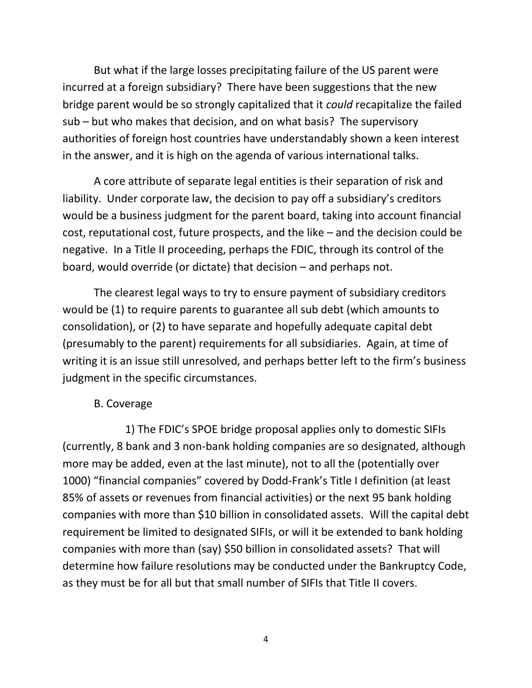But what if the large losses precipitating failure of the US parent were incurred at a foreign subsidiary? There have been suggestions that the new bridge parent would be so strongly capitalized that it *could* recapitalize the failed sub – but who makes that decision, and on what basis? The supervisory authorities of foreign host countries have understandably shown a keen interest in the answer, and it is high on the agenda of various international talks.

A core attribute of separate legal entities is their separation of risk and liability. Under corporate law, the decision to pay off a subsidiary's creditors would be a business judgment for the parent board, taking into account financial cost, reputational cost, future prospects, and the like – and the decision could be negative. In a Title II proceeding, perhaps the FDIC, through its control of the board, would override (or dictate) that decision – and perhaps not.

The clearest legal ways to try to ensure payment of subsidiary creditors would be (1) to require parents to guarantee all sub debt (which amounts to consolidation), or (2) to have separate and hopefully adequate capital debt (presumably to the parent) requirements for all subsidiaries. Again, at time of writing it is an issue still unresolved, and perhaps better left to the firm's business judgment in the specific circumstances.

# B. Coverage

1) The FDIC's SPOE bridge proposal applies only to domestic SIFIs (currently, 8 bank and 3 non-bank holding companies are so designated, although more may be added, even at the last minute), not to all the (potentially over 1000) "financial companies" covered by Dodd-Frank's Title I definition (at least 85% of assets or revenues from financial activities) or the next 95 bank holding companies with more than \$10 billion in consolidated assets. Will the capital debt requirement be limited to designated SIFIs, or will it be extended to bank holding companies with more than (say) \$50 billion in consolidated assets? That will determine how failure resolutions may be conducted under the Bankruptcy Code, as they must be for all but that small number of SIFIs that Title II covers.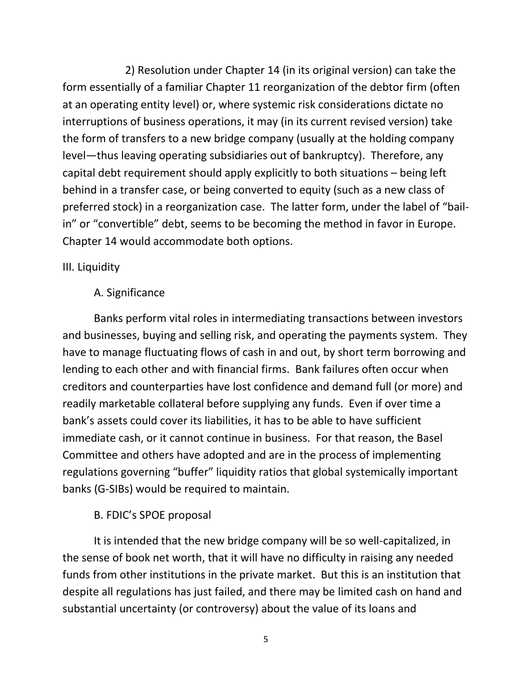2) Resolution under Chapter 14 (in its original version) can take the form essentially of a familiar Chapter 11 reorganization of the debtor firm (often at an operating entity level) or, where systemic risk considerations dictate no interruptions of business operations, it may (in its current revised version) take the form of transfers to a new bridge company (usually at the holding company level—thus leaving operating subsidiaries out of bankruptcy). Therefore, any capital debt requirement should apply explicitly to both situations – being left behind in a transfer case, or being converted to equity (such as a new class of preferred stock) in a reorganization case. The latter form, under the label of "bailin" or "convertible" debt, seems to be becoming the method in favor in Europe. Chapter 14 would accommodate both options.

# III. Liquidity

# A. Significance

Banks perform vital roles in intermediating transactions between investors and businesses, buying and selling risk, and operating the payments system. They have to manage fluctuating flows of cash in and out, by short term borrowing and lending to each other and with financial firms. Bank failures often occur when creditors and counterparties have lost confidence and demand full (or more) and readily marketable collateral before supplying any funds. Even if over time a bank's assets could cover its liabilities, it has to be able to have sufficient immediate cash, or it cannot continue in business. For that reason, the Basel Committee and others have adopted and are in the process of implementing regulations governing "buffer" liquidity ratios that global systemically important banks (G-SIBs) would be required to maintain.

# B. FDIC's SPOE proposal

It is intended that the new bridge company will be so well-capitalized, in the sense of book net worth, that it will have no difficulty in raising any needed funds from other institutions in the private market. But this is an institution that despite all regulations has just failed, and there may be limited cash on hand and substantial uncertainty (or controversy) about the value of its loans and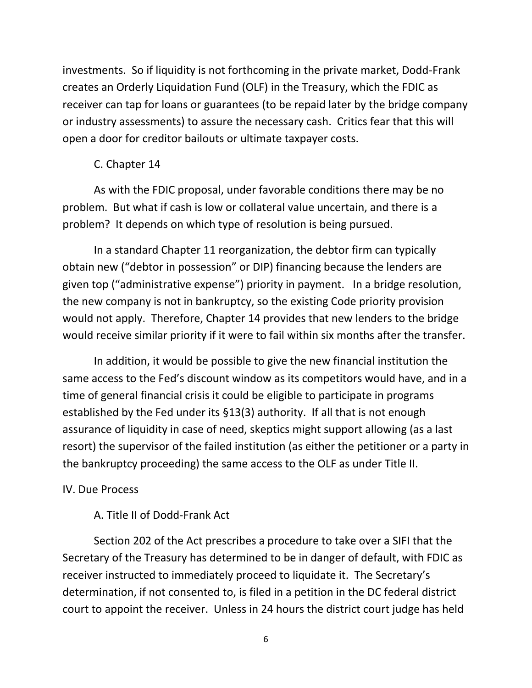investments. So if liquidity is not forthcoming in the private market, Dodd-Frank creates an Orderly Liquidation Fund (OLF) in the Treasury, which the FDIC as receiver can tap for loans or guarantees (to be repaid later by the bridge company or industry assessments) to assure the necessary cash. Critics fear that this will open a door for creditor bailouts or ultimate taxpayer costs.

# C. Chapter 14

As with the FDIC proposal, under favorable conditions there may be no problem. But what if cash is low or collateral value uncertain, and there is a problem? It depends on which type of resolution is being pursued.

In a standard Chapter 11 reorganization, the debtor firm can typically obtain new ("debtor in possession" or DIP) financing because the lenders are given top ("administrative expense") priority in payment. In a bridge resolution, the new company is not in bankruptcy, so the existing Code priority provision would not apply. Therefore, Chapter 14 provides that new lenders to the bridge would receive similar priority if it were to fail within six months after the transfer.

In addition, it would be possible to give the new financial institution the same access to the Fed's discount window as its competitors would have, and in a time of general financial crisis it could be eligible to participate in programs established by the Fed under its §13(3) authority. If all that is not enough assurance of liquidity in case of need, skeptics might support allowing (as a last resort) the supervisor of the failed institution (as either the petitioner or a party in the bankruptcy proceeding) the same access to the OLF as under Title II.

# IV. Due Process

# A. Title II of Dodd-Frank Act

Section 202 of the Act prescribes a procedure to take over a SIFI that the Secretary of the Treasury has determined to be in danger of default, with FDIC as receiver instructed to immediately proceed to liquidate it. The Secretary's determination, if not consented to, is filed in a petition in the DC federal district court to appoint the receiver. Unless in 24 hours the district court judge has held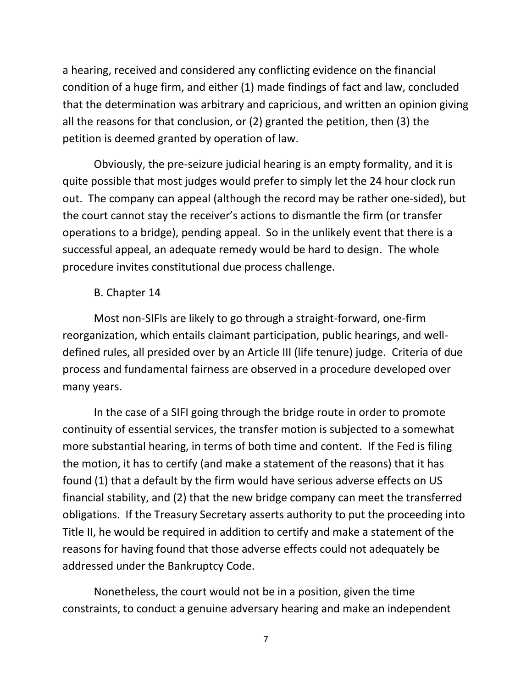a hearing, received and considered any conflicting evidence on the financial condition of a huge firm, and either (1) made findings of fact and law, concluded that the determination was arbitrary and capricious, and written an opinion giving all the reasons for that conclusion, or (2) granted the petition, then (3) the petition is deemed granted by operation of law.

Obviously, the pre-seizure judicial hearing is an empty formality, and it is quite possible that most judges would prefer to simply let the 24 hour clock run out. The company can appeal (although the record may be rather one-sided), but the court cannot stay the receiver's actions to dismantle the firm (or transfer operations to a bridge), pending appeal. So in the unlikely event that there is a successful appeal, an adequate remedy would be hard to design. The whole procedure invites constitutional due process challenge.

## B. Chapter 14

Most non-SIFIs are likely to go through a straight-forward, one-firm reorganization, which entails claimant participation, public hearings, and welldefined rules, all presided over by an Article III (life tenure) judge. Criteria of due process and fundamental fairness are observed in a procedure developed over many years.

In the case of a SIFI going through the bridge route in order to promote continuity of essential services, the transfer motion is subjected to a somewhat more substantial hearing, in terms of both time and content. If the Fed is filing the motion, it has to certify (and make a statement of the reasons) that it has found (1) that a default by the firm would have serious adverse effects on US financial stability, and (2) that the new bridge company can meet the transferred obligations. If the Treasury Secretary asserts authority to put the proceeding into Title II, he would be required in addition to certify and make a statement of the reasons for having found that those adverse effects could not adequately be addressed under the Bankruptcy Code.

Nonetheless, the court would not be in a position, given the time constraints, to conduct a genuine adversary hearing and make an independent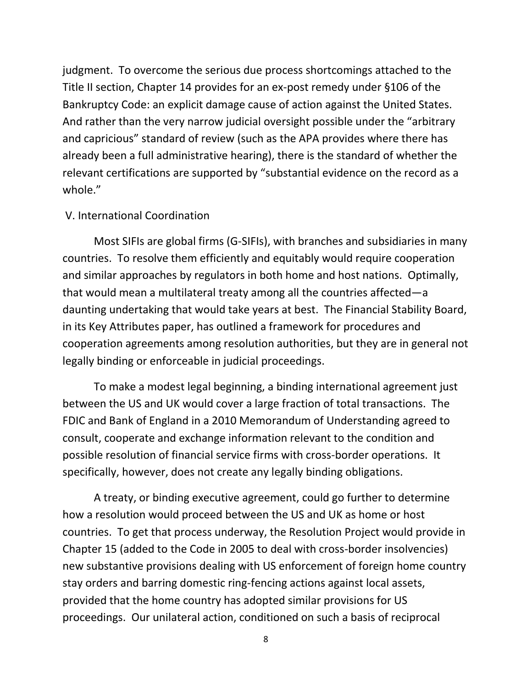judgment. To overcome the serious due process shortcomings attached to the Title II section, Chapter 14 provides for an ex-post remedy under §106 of the Bankruptcy Code: an explicit damage cause of action against the United States. And rather than the very narrow judicial oversight possible under the "arbitrary and capricious" standard of review (such as the APA provides where there has already been a full administrative hearing), there is the standard of whether the relevant certifications are supported by "substantial evidence on the record as a whole."

### V. International Coordination

Most SIFIs are global firms (G-SIFIs), with branches and subsidiaries in many countries. To resolve them efficiently and equitably would require cooperation and similar approaches by regulators in both home and host nations. Optimally, that would mean a multilateral treaty among all the countries affected—a daunting undertaking that would take years at best. The Financial Stability Board, in its Key Attributes paper, has outlined a framework for procedures and cooperation agreements among resolution authorities, but they are in general not legally binding or enforceable in judicial proceedings.

To make a modest legal beginning, a binding international agreement just between the US and UK would cover a large fraction of total transactions. The FDIC and Bank of England in a 2010 Memorandum of Understanding agreed to consult, cooperate and exchange information relevant to the condition and possible resolution of financial service firms with cross-border operations. It specifically, however, does not create any legally binding obligations.

A treaty, or binding executive agreement, could go further to determine how a resolution would proceed between the US and UK as home or host countries. To get that process underway, the Resolution Project would provide in Chapter 15 (added to the Code in 2005 to deal with cross-border insolvencies) new substantive provisions dealing with US enforcement of foreign home country stay orders and barring domestic ring-fencing actions against local assets, provided that the home country has adopted similar provisions for US proceedings. Our unilateral action, conditioned on such a basis of reciprocal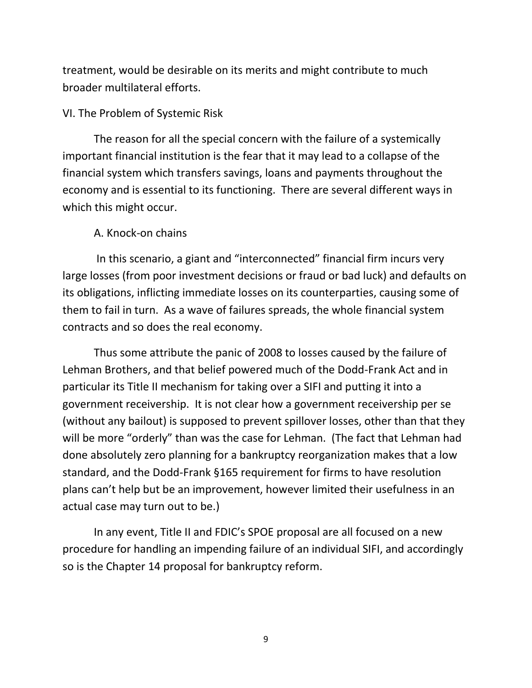treatment, would be desirable on its merits and might contribute to much broader multilateral efforts.

# VI. The Problem of Systemic Risk

The reason for all the special concern with the failure of a systemically important financial institution is the fear that it may lead to a collapse of the financial system which transfers savings, loans and payments throughout the economy and is essential to its functioning. There are several different ways in which this might occur.

## A. Knock-on chains

In this scenario, a giant and "interconnected" financial firm incurs very large losses (from poor investment decisions or fraud or bad luck) and defaults on its obligations, inflicting immediate losses on its counterparties, causing some of them to fail in turn. As a wave of failures spreads, the whole financial system contracts and so does the real economy.

Thus some attribute the panic of 2008 to losses caused by the failure of Lehman Brothers, and that belief powered much of the Dodd-Frank Act and in particular its Title II mechanism for taking over a SIFI and putting it into a government receivership. It is not clear how a government receivership per se (without any bailout) is supposed to prevent spillover losses, other than that they will be more "orderly" than was the case for Lehman. (The fact that Lehman had done absolutely zero planning for a bankruptcy reorganization makes that a low standard, and the Dodd-Frank §165 requirement for firms to have resolution plans can't help but be an improvement, however limited their usefulness in an actual case may turn out to be.)

In any event, Title II and FDIC's SPOE proposal are all focused on a new procedure for handling an impending failure of an individual SIFI, and accordingly so is the Chapter 14 proposal for bankruptcy reform.